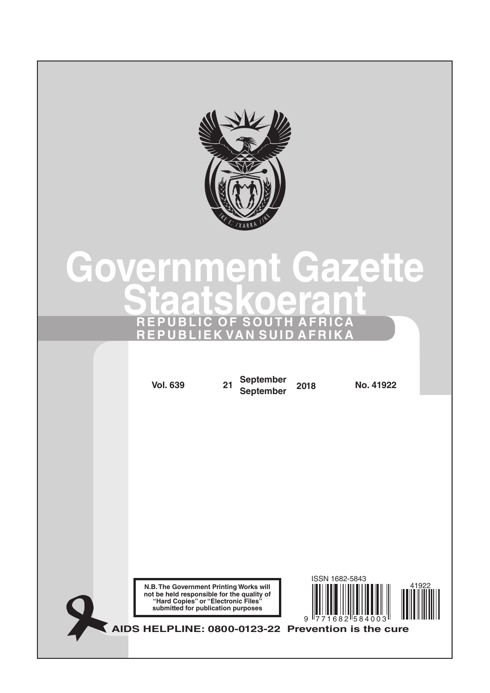

# **Government Gazette Staatskoerant REPUBLIC OF SOUTH AFRICA REPUBLIEK VAN SUID AFRIKA**

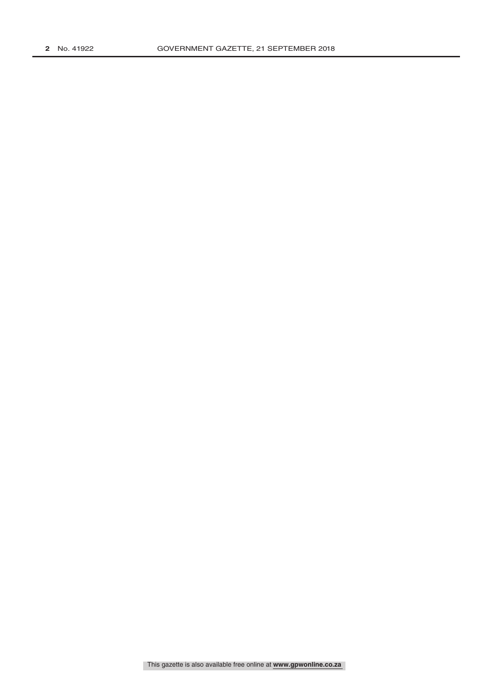This gazette is also available free online at **www.gpwonline.co.za**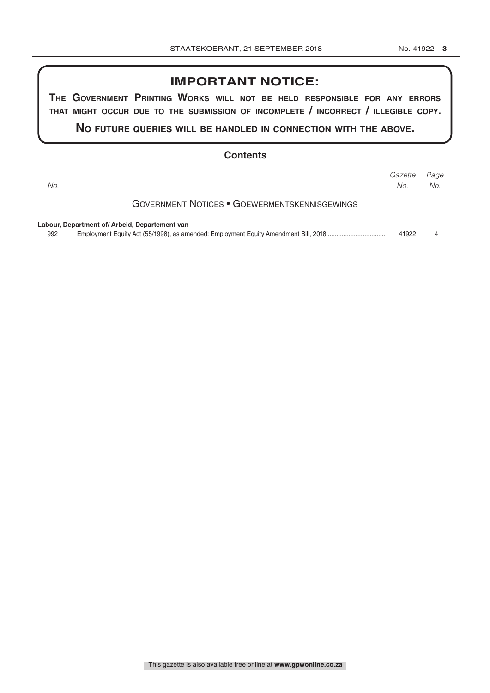# **IMPORTANT NOTICE:**

**The GovernmenT PrinTinG Works Will noT be held resPonsible for any errors ThaT miGhT occur due To The submission of incomPleTe / incorrecT / illeGible coPy.**

**no fuTure queries Will be handled in connecTion WiTh The above.**

## **Contents**

|     |                                                | Gazette | Page |
|-----|------------------------------------------------|---------|------|
| No. |                                                | No.     | No.  |
|     | GOVERNMENT NOTICES • GOEWERMENTSKENNISGEWINGS  |         |      |
|     | Labour, Department of/ Arbeid, Departement van |         |      |
| 992 |                                                | 41922   |      |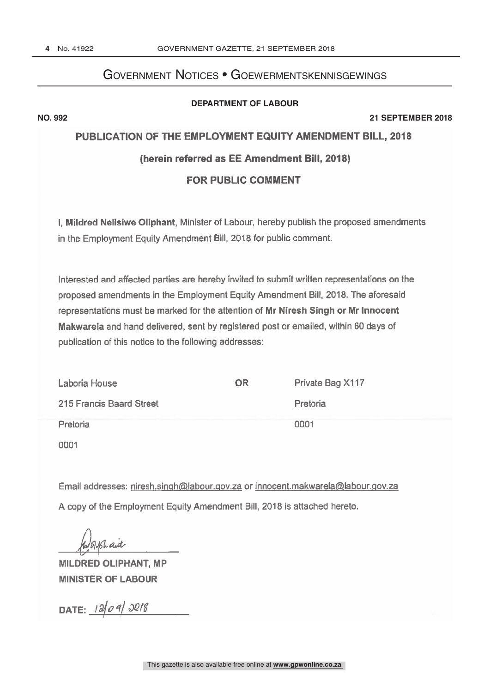# Government Notices • Goewermentskennisgewings

## **DEPARTMENT OF LABOUR**

**NO. 992 21 SEPTEMBER 2018**

PUBLICATION OF THE EMPLOYMENT EQUITY AMENDMENT BILL, 2018 (herein referred as EE Amendment Bill, 2018) **FOR PUBLIC COMMENT** 

I, Mildred Nelisiwe Oliphant, Minister of Labour, hereby publish the proposed amendments in the Employment Equity Amendment Bill, 2018 for public comment.

Interested and affected parties are hereby invited to submit written representations on the proposed amendments in the Employment Equity Amendment Bill, 2018 The aforesaid representations must be marked for the attention of Mr Niresh Singh or Mr Innocent Makwarela and hand delivered, sent by registered post or emailed, within 60 days of publication of this notice to the following addresses:

| Laboria House            | OR | Private Bag X117 |
|--------------------------|----|------------------|
| 215 Francis Baard Street |    | Pretoria         |
| Pretoria                 |    | 0001             |

0001

 $\mathsf{hour}.\mathsf{qov}.z$ a or innocent.makwarela@labour.gov.za A copy of the Employment Equity Amendment Bill, 2018 is attached hereto.

B. Bu aut

**MILDRED OLIPHANT, MP MINISTER OF LABOUR** 

DATE:  $1209$   $308$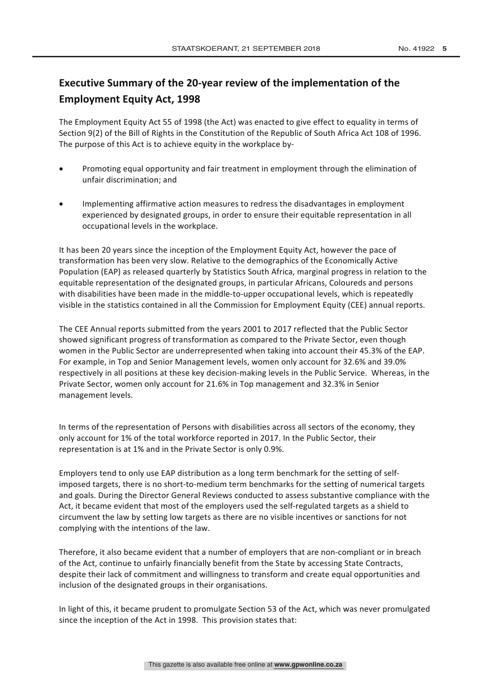# Executive Summary of the 20-year review of the implementation of the **Employment Equity Act, 1998**

The Employment Equity Act 55 of 1998 (the Act) was enacted to give effect to equality in terms of Section 9(2) of the Bill of Rights in the Constitution of the Republic of South Africa Act 108 of 1996. The purpose of this Act is to achieve equity in the workplace by-

- Promoting equal opportunity and fair treatment in employment through the elimination of unfair discrimination; and
- Implementing affirmative action measures to redress the disadvantages in employment experienced by designated groups, in order to ensure their equitable representation in all occupational levels in the workplace.

It has been 20 years since the inception of the Employment Equity Act, however the pace of transformation has been very slow. Relative to the demographics of the Economically Active Population (EAP) as released quarterly by Statistics South Africa, marginal progress in relation to the equitable representation of the designated groups, in particular Africans, Coloureds and persons with disabilities have been made in the middle-to-upper occupational levels, which is repeatedly visible in the statistics contained in all the Commission for Employment Equity (CEE) annual reports.

The CEE Annual reports submitted from the years 2001 to 2017 reflected that the Public Sector showed significant progress of transformation as compared to the Private Sector, even though women in the Public Sector are underrepresented when taking into account their 45.3% of the EAP. For example, in Top and Senior Management levels, women only account for 32.6% and 39.0% respectively in all positions at these key decision-making levels in the Public Service. Whereas, in the Private Sector, women only account for 21.6% in Top management and 32.3% in Senior management levels.

In terms of the representation of Persons with disabilities across all sectors of the economy, they only account for 1% of the total workforce reported in 2017. In the Public Sector, their representation is at 1% and in the Private Sector is only 0.9%.

Employers tend to only use EAP distribution as a long term benchmark for the setting of selfimposed targets, there is no short-to-medium term benchmarks for the setting of numerical targets and goals. During the Director General Reviews conducted to assess substantive compliance with the Act, it became evident that most of the employers used the self-regulated targets as a shield to circumvent the law by setting low targets as there are no visible incentives or sanctions for not complying with the intentions of the law.

Therefore, it also became evident that a number of employers that are non-compliant or in breach of the Act, continue to unfairly financially benefit from the State by accessing State Contracts, despite their lack of commitment and willingness to transform and create equal opportunities and inclusion of the designated groups in their organisations.

In light of this, it became prudent to promulgate Section 53 of the Act, which was never promulgated since the inception of the Act in 1998. This provision states that: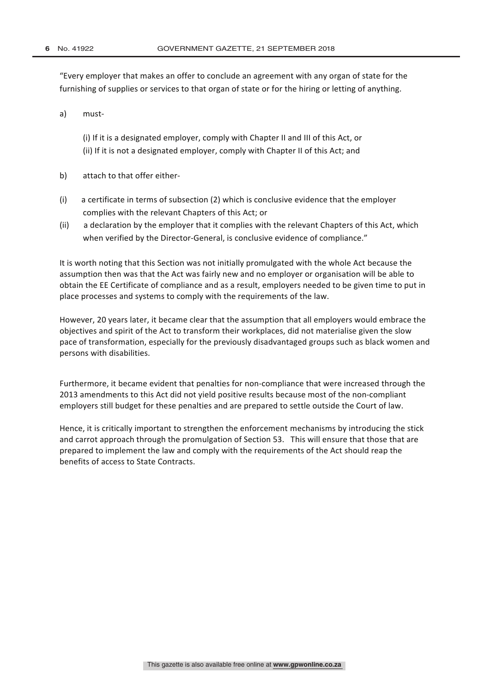"Every employer that makes an offer to conclude an agreement with any organ of state for the furnishing of supplies or services to that organ of state or for the hiring or letting of anything.

 $a)$ must-

> (i) If it is a designated employer, comply with Chapter II and III of this Act, or (ii) If it is not a designated employer, comply with Chapter II of this Act; and

- b) attach to that offer either-
- a certificate in terms of subsection (2) which is conclusive evidence that the employer  $(i)$ complies with the relevant Chapters of this Act; or
- $(ii)$ a declaration by the employer that it complies with the relevant Chapters of this Act, which when verified by the Director-General, is conclusive evidence of compliance."

It is worth noting that this Section was not initially promulgated with the whole Act because the assumption then was that the Act was fairly new and no employer or organisation will be able to obtain the EE Certificate of compliance and as a result, employers needed to be given time to put in place processes and systems to comply with the requirements of the law.

However, 20 years later, it became clear that the assumption that all employers would embrace the objectives and spirit of the Act to transform their workplaces, did not materialise given the slow pace of transformation, especially for the previously disadvantaged groups such as black women and persons with disabilities.

Furthermore, it became evident that penalties for non-compliance that were increased through the 2013 amendments to this Act did not yield positive results because most of the non-compliant employers still budget for these penalties and are prepared to settle outside the Court of law.

Hence, it is critically important to strengthen the enforcement mechanisms by introducing the stick and carrot approach through the promulgation of Section 53. This will ensure that those that are prepared to implement the law and comply with the requirements of the Act should reap the benefits of access to State Contracts.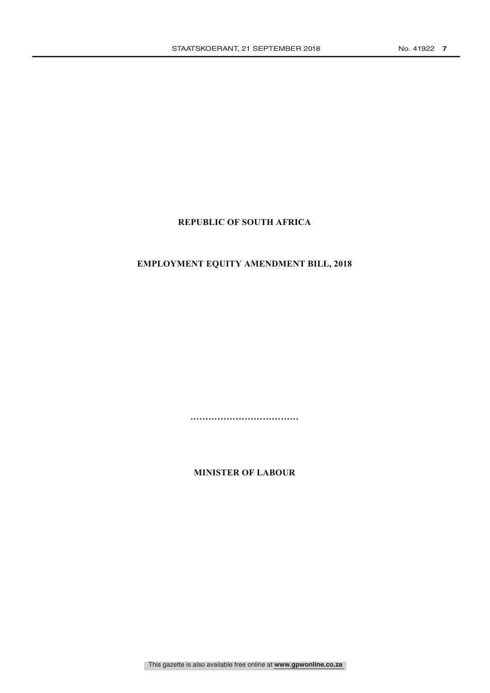# **REPUBLIC OF SOUTH AFRICA**

# **EMPLOYMENT EQUITY AMENDMENT BILL, 2018**

**………………………………**

**MINISTER OF LABOUR**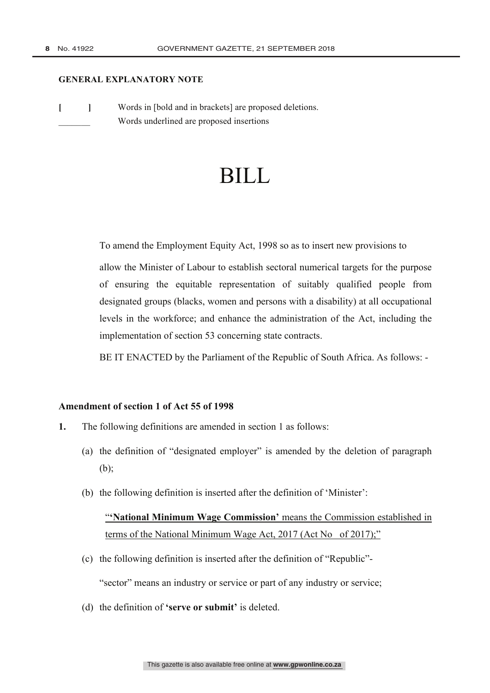## **GENERAL EXPLANATORY NOTE**

**[ ]** Words in [bold and in brackets] are proposed deletions. \_\_\_\_\_\_\_ Words underlined are proposed insertions

# BILL

To amend the Employment Equity Act, 1998 so as to insert new provisions to

allow the Minister of Labour to establish sectoral numerical targets for the purpose of ensuring the equitable representation of suitably qualified people from designated groups (blacks, women and persons with a disability) at all occupational levels in the workforce; and enhance the administration of the Act, including the implementation of section 53 concerning state contracts.

BE IT ENACTED by the Parliament of the Republic of South Africa. As follows: -

### **Amendment of section 1 of Act 55 of 1998**

- **1.** The following definitions are amended in section 1 as follows:
	- (a) the definition of "designated employer" is amended by the deletion of paragraph (b);
	- (b) the following definition is inserted after the definition of 'Minister':

 "**'National Minimum Wage Commission'** means the Commission established in terms of the National Minimum Wage Act, 2017 (Act No of 2017);"

(c) the following definition is inserted after the definition of "Republic"-

"sector" means an industry or service or part of any industry or service;

(d) the definition of **'serve or submit'** is deleted.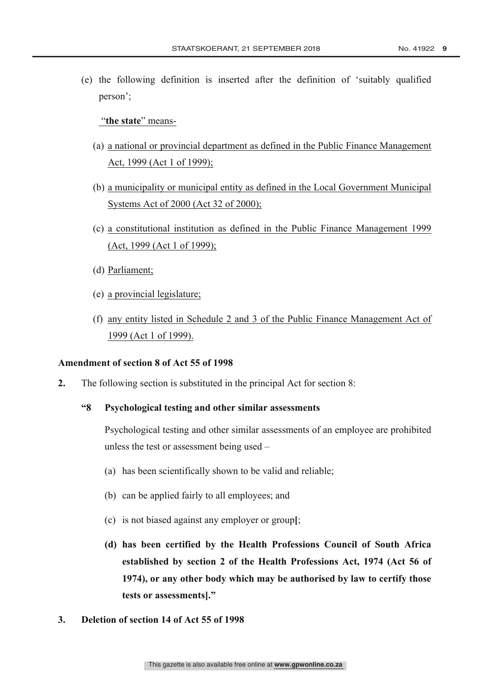- (e) the following definition is inserted after the definition of 'suitably qualified person';
	- "**the state**" means-
	- (a) a national or provincial department as defined in the Public Finance Management Act, 1999 (Act 1 of 1999);
	- (b) a municipality or municipal entity as defined in the Local Government Municipal Systems Act of 2000 (Act 32 of 2000);
	- (c) a constitutional institution as defined in the Public Finance Management 1999 (Act, 1999 (Act 1 of 1999);
	- (d) Parliament;
	- (e) a provincial legislature;
	- (f) any entity listed in Schedule 2 and 3 of the Public Finance Management Act of 1999 (Act 1 of 1999).

# **Amendment of section 8 of Act 55 of 1998**

**2.** The following section is substituted in the principal Act for section 8:

## **"8 Psychological testing and other similar assessments**

Psychological testing and other similar assessments of an employee are prohibited unless the test or assessment being used –

- (a) has been scientifically shown to be valid and reliable;
- (b) can be applied fairly to all employees; and
- (c) is not biased against any employer or group**[**;
- **(d) has been certified by the Health Professions Council of South Africa established by section 2 of the Health Professions Act, 1974 (Act 56 of 1974), or any other body which may be authorised by law to certify those tests or assessments]."**
- **3. Deletion of section 14 of Act 55 of 1998**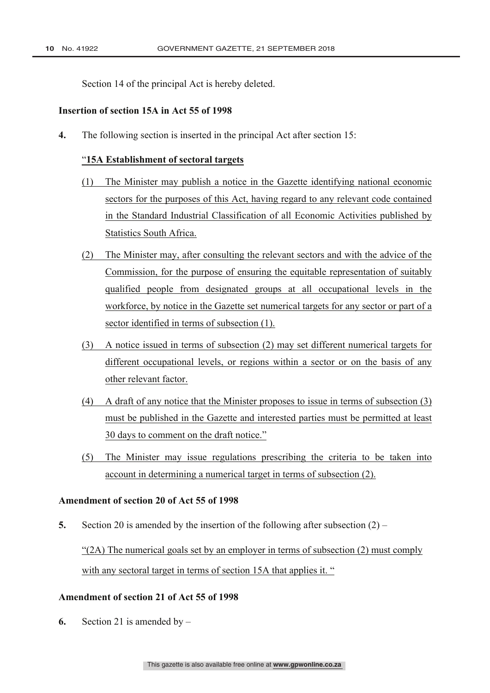Section 14 of the principal Act is hereby deleted.

## **Insertion of section 15A in Act 55 of 1998**

**4.** The following section is inserted in the principal Act after section 15:

# "**15A Establishment of sectoral targets**

- (1) The Minister may publish a notice in the Gazette identifying national economic sectors for the purposes of this Act, having regard to any relevant code contained in the Standard Industrial Classification of all Economic Activities published by Statistics South Africa.
- (2) The Minister may, after consulting the relevant sectors and with the advice of the Commission, for the purpose of ensuring the equitable representation of suitably qualified people from designated groups at all occupational levels in the workforce, by notice in the Gazette set numerical targets for any sector or part of a sector identified in terms of subsection (1).
- (3) A notice issued in terms of subsection (2) may set different numerical targets for different occupational levels, or regions within a sector or on the basis of any other relevant factor.
- (4) A draft of any notice that the Minister proposes to issue in terms of subsection (3) must be published in the Gazette and interested parties must be permitted at least 30 days to comment on the draft notice."
- (5) The Minister may issue regulations prescribing the criteria to be taken into account in determining a numerical target in terms of subsection (2).

# **Amendment of section 20 of Act 55 of 1998**

**5.** Section 20 is amended by the insertion of the following after subsection (2) –

 $(2)$  The numerical goals set by an employer in terms of subsection (2) must comply with any sectoral target in terms of section 15A that applies it. "

# **Amendment of section 21 of Act 55 of 1998**

**6.** Section 21 is amended by –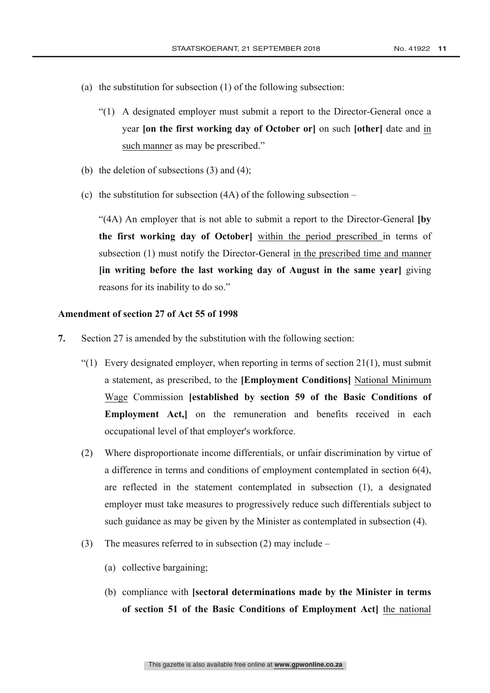- (a) the substitution for subsection (1) of the following subsection:
	- "(1) A designated employer must submit a report to the Director-General once a year **[on the first working day of October or]** on such **[other]** date and in such manner as may be prescribed."
- (b) the deletion of subsections  $(3)$  and  $(4)$ ;
- (c) the substitution for subsection  $(4A)$  of the following subsection –

"(4A) An employer that is not able to submit a report to the Director-General **[by the first working day of October]** within the period prescribed in terms of subsection (1) must notify the Director-General in the prescribed time and manner **[in writing before the last working day of August in the same year]** giving reasons for its inability to do so."

### **Amendment of section 27 of Act 55 of 1998**

- **7.** Section 27 is amended by the substitution with the following section:
	- " $(1)$  Every designated employer, when reporting in terms of section 21(1), must submit a statement, as prescribed, to the **[Employment Conditions]** National Minimum Wage Commission **[established by section 59 of the Basic Conditions of Employment Act,** on the remuneration and benefits received in each occupational level of that employer's workforce.
	- (2) Where disproportionate income differentials, or unfair discrimination by virtue of a difference in terms and conditions of employment contemplated in section 6(4), are reflected in the statement contemplated in subsection (1), a designated employer must take measures to progressively reduce such differentials subject to such guidance as may be given by the Minister as contemplated in subsection (4).
	- (3) The measures referred to in subsection (2) may include
		- (a) collective bargaining;
		- (b) compliance with **[sectoral determinations made by the Minister in terms of section 51 of the Basic Conditions of Employment Act]** the national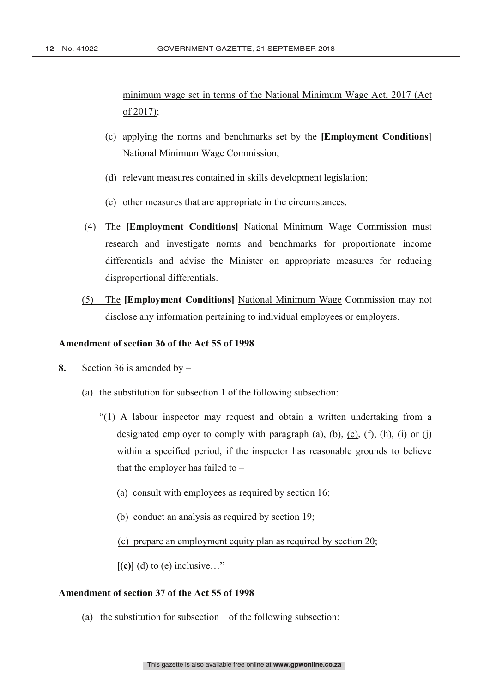minimum wage set in terms of the National Minimum Wage Act, 2017 (Act of 2017);

- (c) applying the norms and benchmarks set by the **[Employment Conditions]** National Minimum Wage Commission;
- (d) relevant measures contained in skills development legislation;
- (e) other measures that are appropriate in the circumstances.
- (4) The **[Employment Conditions]** National Minimum Wage Commission must research and investigate norms and benchmarks for proportionate income differentials and advise the Minister on appropriate measures for reducing disproportional differentials.
- (5) The **[Employment Conditions]** National Minimum Wage Commission may not disclose any information pertaining to individual employees or employers.

# **Amendment of section 36 of the Act 55 of 1998**

- **8.** Section 36 is amended by
	- (a) the substitution for subsection 1 of the following subsection:
		- "(1) A labour inspector may request and obtain a written undertaking from a designated employer to comply with paragraph (a), (b),  $(c)$ ,  $(f)$ ,  $(h)$ ,  $(i)$  or  $(j)$ within a specified period, if the inspector has reasonable grounds to believe that the employer has failed to –
			- (a) consult with employees as required by section 16;
			- (b) conduct an analysis as required by section 19;
			- (c) prepare an employment equity plan as required by section 20;

 $[(c)]$  (d) to (e) inclusive..."

# **Amendment of section 37 of the Act 55 of 1998**

(a) the substitution for subsection 1 of the following subsection: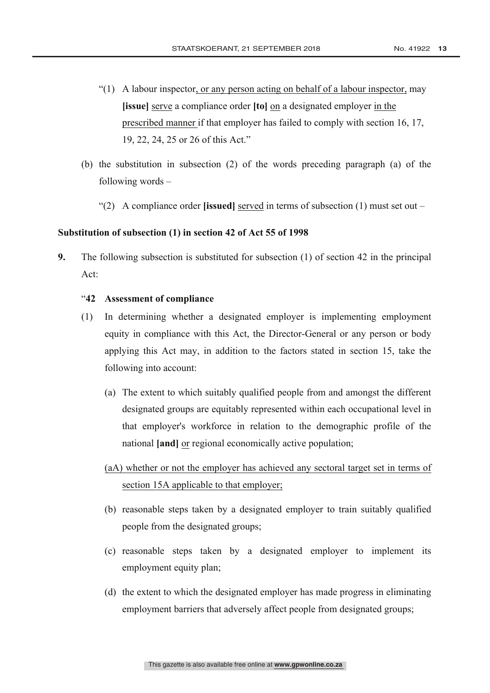- $"(1)$  A labour inspector, or any person acting on behalf of a labour inspector, may **[issue]** serve a compliance order **[to]** on a designated employer in the prescribed manner if that employer has failed to comply with section 16, 17, 19, 22, 24, 25 or 26 of this Act."
- (b) the substitution in subsection (2) of the words preceding paragraph (a) of the following words –
	- "(2) A compliance order **[issued]** served in terms of subsection (1) must set out –

# **Substitution of subsection (1) in section 42 of Act 55 of 1998**

**9.** The following subsection is substituted for subsection (1) of section 42 in the principal Act:

# "**42 Assessment of compliance**

- (1) In determining whether a designated employer is implementing employment equity in compliance with this Act, the Director-General or any person or body applying this Act may, in addition to the factors stated in section 15, take the following into account:
	- (a) The extent to which suitably qualified people from and amongst the different designated groups are equitably represented within each occupational level in that employer's workforce in relation to the demographic profile of the national **[and]** or regional economically active population;
	- (aA) whether or not the employer has achieved any sectoral target set in terms of section 15A applicable to that employer;
	- (b) reasonable steps taken by a designated employer to train suitably qualified people from the designated groups;
	- (c) reasonable steps taken by a designated employer to implement its employment equity plan;
	- (d) the extent to which the designated employer has made progress in eliminating employment barriers that adversely affect people from designated groups;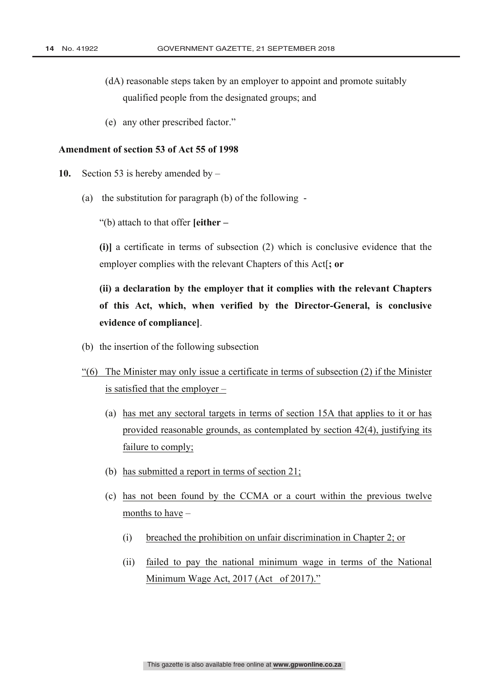- (dA) reasonable steps taken by an employer to appoint and promote suitably qualified people from the designated groups; and
- (e) any other prescribed factor."

# **Amendment of section 53 of Act 55 of 1998**

- **10.** Section 53 is hereby amended by
	- (a) the substitution for paragraph (b) of the following -

"(b) attach to that offer **[either –** 

**(i)]** a certificate in terms of subsection (2) which is conclusive evidence that the employer complies with the relevant Chapters of this Act[**; or**

**(ii) a declaration by the employer that it complies with the relevant Chapters of this Act, which, when verified by the Director-General, is conclusive evidence of compliance]**.

- (b) the insertion of the following subsection
- $(6)$  The Minister may only issue a certificate in terms of subsection (2) if the Minister is satisfied that the employer –
	- (a) has met any sectoral targets in terms of section 15A that applies to it or has provided reasonable grounds, as contemplated by section 42(4), justifying its failure to comply;
	- (b) has submitted a report in terms of section 21;
	- (c) has not been found by the CCMA or a court within the previous twelve months to have –
		- (i) breached the prohibition on unfair discrimination in Chapter 2; or
		- (ii) failed to pay the national minimum wage in terms of the National Minimum Wage Act, 2017 (Act of 2017)."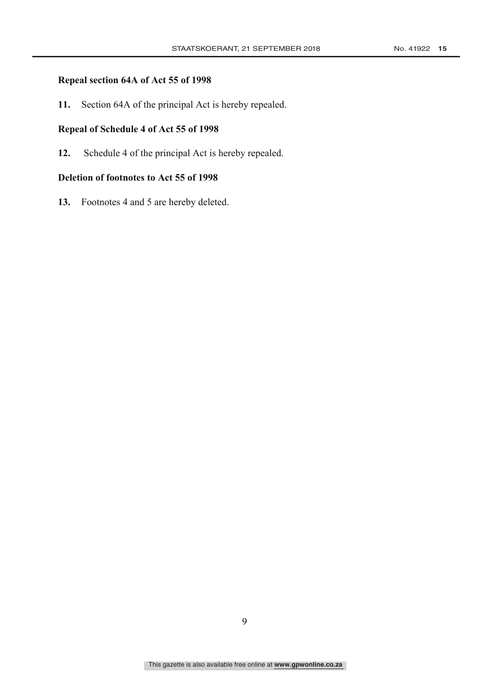# **Repeal section 64A of Act 55 of 1998**

**11.** Section 64A of the principal Act is hereby repealed.

# **Repeal of Schedule 4 of Act 55 of 1998**

**12.** Schedule 4 of the principal Act is hereby repealed.

# **Deletion of footnotes to Act 55 of 1998**

**13.** Footnotes 4 and 5 are hereby deleted.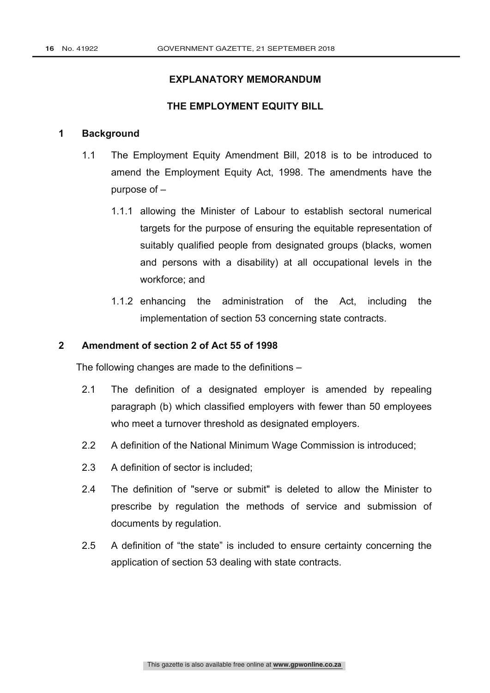# **EXPLANATORY MEMORANDUM**

# THE EMPLOYMENT EQUITY BILL

### $\overline{1}$ **Background**

- $1.1$ The Employment Equity Amendment Bill, 2018 is to be introduced to amend the Employment Equity Act, 1998. The amendments have the purpose of  $-$ 
	- 1.1.1 allowing the Minister of Labour to establish sectoral numerical targets for the purpose of ensuring the equitable representation of suitably qualified people from designated groups (blacks, women and persons with a disability) at all occupational levels in the workforce: and
	- 1.1.2 enhancing the administration of the Act. including the implementation of section 53 concerning state contracts.

#### Amendment of section 2 of Act 55 of 1998  $\overline{2}$

The following changes are made to the definitions -

- $2.1$ The definition of a designated employer is amended by repealing paragraph (b) which classified employers with fewer than 50 employees who meet a turnover threshold as designated employers.
- $2.2$ A definition of the National Minimum Wage Commission is introduced;
- 2.3 A definition of sector is included:
- $2.4$ The definition of "serve or submit" is deleted to allow the Minister to prescribe by regulation the methods of service and submission of documents by regulation.
- $2.5$ A definition of "the state" is included to ensure certainty concerning the application of section 53 dealing with state contracts.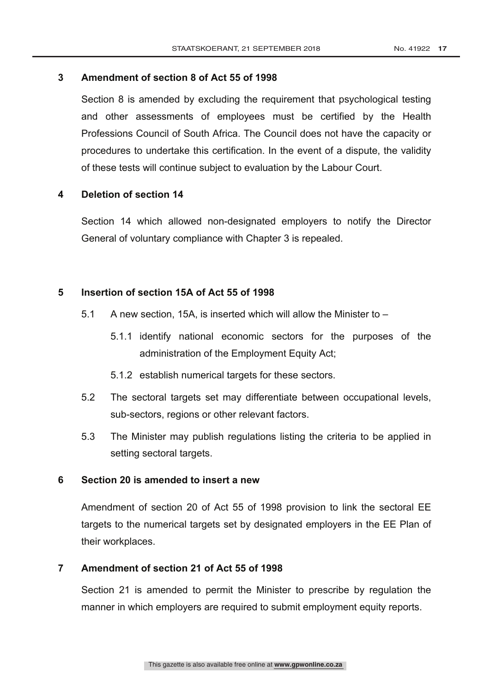#### $\overline{3}$ Amendment of section 8 of Act 55 of 1998

Section 8 is amended by excluding the requirement that psychological testing and other assessments of employees must be certified by the Health Professions Council of South Africa. The Council does not have the capacity or procedures to undertake this certification. In the event of a dispute, the validity of these tests will continue subject to evaluation by the Labour Court.

### **Deletion of section 14**  $\overline{\mathbf{A}}$

Section 14 which allowed non-designated employers to notify the Director General of voluntary compliance with Chapter 3 is repealed.

### Insertion of section 15A of Act 55 of 1998 5

- $5.1$ A new section, 15A, is inserted which will allow the Minister to  $-$ 
	- 5.1.1 identify national economic sectors for the purposes of the administration of the Employment Equity Act;
	- 5.1.2 establish numerical targets for these sectors.
- $5.2$ The sectoral targets set may differentiate between occupational levels, sub-sectors, regions or other relevant factors.
- 5.3 The Minister may publish regulations listing the criteria to be applied in setting sectoral targets.

### 6 Section 20 is amended to insert a new

Amendment of section 20 of Act 55 of 1998 provision to link the sectoral EE targets to the numerical targets set by designated employers in the EE Plan of their workplaces.

### $\overline{7}$ Amendment of section 21 of Act 55 of 1998

Section 21 is amended to permit the Minister to prescribe by regulation the manner in which employers are required to submit employment equity reports.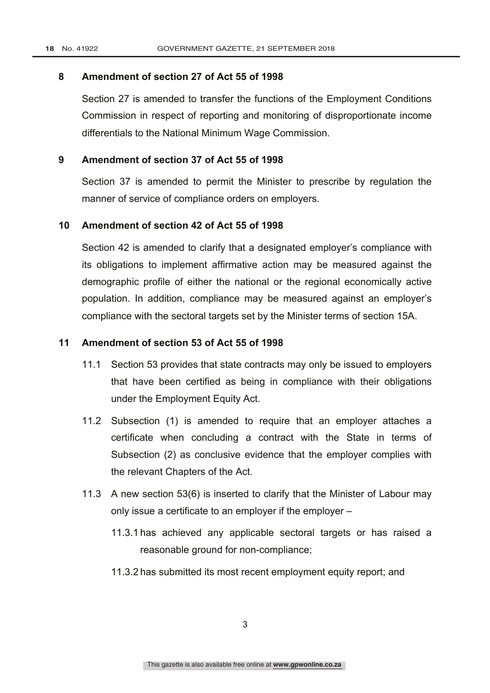### **Amendment of section 27 of Act 55 of 1998**

Section 27 is amended to transfer the functions of the Employment Conditions Commission in respect of reporting and monitoring of disproportionate income differentials to the National Minimum Wage Commission.

# 9 Amendment of section 37 of Act 55 of 1998

Section 37 is amended to permit the Minister to prescribe by regulation the manner of service of compliance orders on employers.

### **-Amendment of section 42 of Act 55 of 1998**

Section 42 is amended to clarify that a designated employer's compliance with its obligations to implement affirmative action may be measured against the demographic profile of either the national or the regional economically active population. In addition, compliance may be measured against an employer's compliance with the sectoral targets set by the Minister terms of section 15A.

# 11 Amendment of section 53 of Act 55 of 1998

- 11.1 Section 53 provides that state contracts may only be issued to employers that have been certified as being in compliance with their obligations under the Employment Equity Act.
- 11.2 Subsection (1) is amended to require that an employer attaches a certificate when concluding a contract with the State in terms of Subsection (2) as conclusive evidence that the employer complies with the relevant Chapters of the Act.
- 11.3 A new section 53(6) is inserted to clarify that the Minister of Labour may only issue a certificate to an employer if the employer  $-$ 
	- 11.3.1 has achieved any applicable sectoral targets or has raised a reasonable ground for non-compliance;
	- 11.3.2 has submitted its most recent employment equity report; and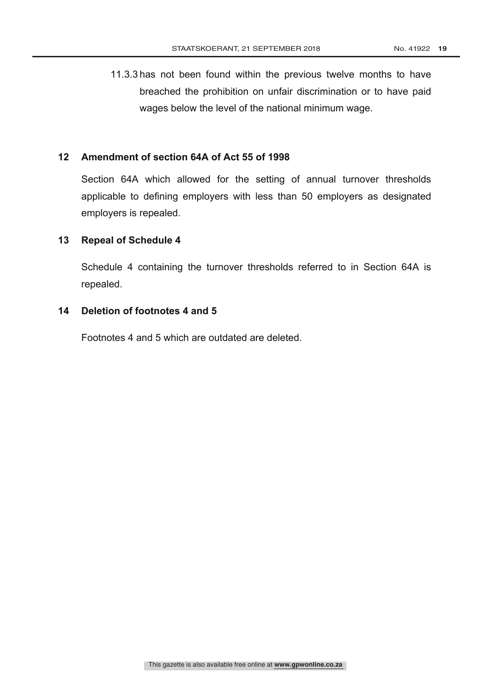11.3.3 has not been found within the previous twelve months to have breached the prohibition on unfair discrimination or to have paid wages below the level of the national minimum wage.

### $12<sup>12</sup>$ Amendment of section 64A of Act 55 of 1998

Section 64A which allowed for the setting of annual turnover thresholds applicable to defining employers with less than 50 employers as designated employers is repealed.

### $13$ **Repeal of Schedule 4**

Schedule 4 containing the turnover thresholds referred to in Section 64A is repealed.

#### $14$ Deletion of footnotes 4 and 5

Footnotes 4 and 5 which are outdated are deleted.